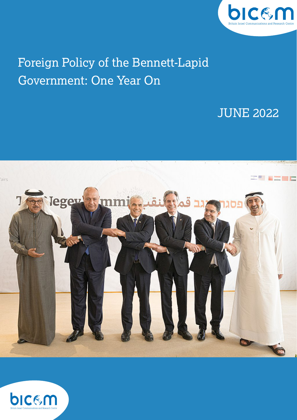

# Foreign Policy of the Bennett-Lapid Government: One Year On

# JUNE 2022



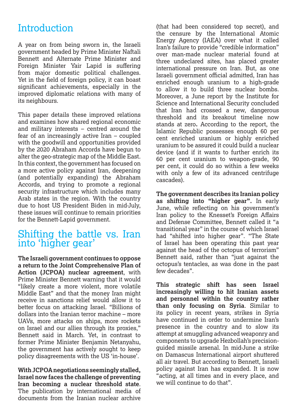# **Introduction**

A year on from being sworn in, the Israeli government headed by Prime Minister Naftali Bennett and Alternate Prime Minister and Foreign Minister Yair Lapid is suffering from major domestic political challenges. Yet in the field of foreign policy, it can boast significant achievements, especially in the improved diplomatic relations with many of its neighbours.

This paper details these improved relations and examines how shared regional economic and military interests – centred around the fear of an increasingly active Iran – coupled with the goodwill and opportunities provided by the 2020 Abraham Accords have begun to alter the geo-strategic map of the Middle East. In this context, the government has focused on a more active policy against Iran, deepening (and potentially expanding) the Abraham Accords, and trying to promote a regional security infrastructure which includes many Arab states in the region. With the country due to host US President Biden in mid-July, these issues will continue to remain priorities for the Bennett-Lapid government.

## Shifting the battle vs. Iran into 'higher gear'

**The Israeli government continues to oppose a return to the Joint Comprehensive Plan of Action (JCPOA) nuclear agreement**, with Prime Minister Bennett warning that it would "likely create a more violent, more volatile Middle East" and that the money Iran might receive in sanctions relief would allow it to better focus on attacking Israel. "Billions of dollars into the Iranian terror machine – more UAVs, more attacks on ships, more rockets on Israel and our allies through its proxies," Bennett said in March. Yet, in contrast to former Prime Minister Benjamin Netanyahu, the government has actively sought to keep policy disagreements with the US 'in-house'.

**With JCPOA negotiations seemingly stalled, Israel now faces the challenge of preventing Iran becoming a nuclear threshold state**. The publication by international media of documents from the Iranian nuclear archive

(that had been considered top secret), and the censure by the International Atomic Energy Agency (IAEA) over what it called Iran's failure to provide "credible information" over man-made nuclear material found at three undeclared sites, has placed greater international pressure on Iran. But, as one Israeli government official admitted, Iran has enriched enough uranium to a high-grade to allow it to build three nuclear bombs. Moreover, a June report by the Institute for Science and International Security concluded that Iran had crossed a new, dangerous threshold and its breakout timeline now stands at zero**.** According to the report, the Islamic Republic possesses enough 60 per cent enriched uranium or highly enriched uranium to be assured it could build a nuclear device (and if it wants to further enrich its 60 per cent uranium to weapon-grade, 90 per cent, it could do so within a few weeks with only a few of its advanced centrifuge cascades).

**The government describes its Iranian policy as shifting into "higher gear".** In early June, while reflecting on his government's Iran policy to the Knesset's Foreign Affairs and Defense Committee, Bennett called it "a transitional year" in the course of which Israel had "shifted into higher gear". "The State of Israel has been operating this past year against the head of the octopus of terrorism" Bennett said, rather than "just against the octopus's tentacles, as was done in the past few decades".

**This strategic shift has seen Israel increasingly willing to hit Iranian assets and personnel within the country rather than only focusing on Syria**. Similar to its policy in recent years, strikes in Syria have continued in order to undermine Iran's presence in the country and to slow its attempt at smuggling advanced weaponry and components to upgrade Hezbollah's precisionguided missile arsenal. In mid-June a strike on Damascus International airport shuttered all air travel. But according to Bennett, Israeli policy against Iran has expanded. It is now "acting, at all times and in every place, and we will continue to do that".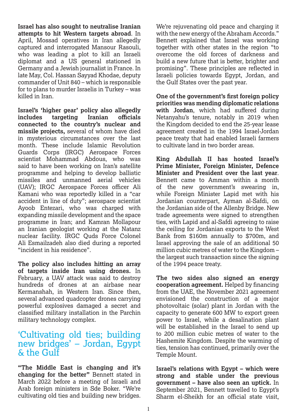**Israel has also sought to neutralise Iranian attempts to hit Western targets abroad**. In April, Mossad operatives in Iran allegedly captured and interrogated Mansour Rasouli, who was leading a plot to kill an Israeli diplomat and a US general stationed in Germany and a Jewish journalist in France. In late May, Col. Hassan Sayyad Khodae, deputy commander of Unit 840 – which is responsible for to plans to murder Israelis in Turkey – was killed in Iran.

**Israel's 'higher gear' policy also allegedly includes targeting Iranian officials connected to the country's nuclear and missile projects,** several of whom have died in mysterious circumstances over the last month. These include Islamic Revolution Guards Corps (IRGC) Aerospace Forces scientist Mohammad Abdous, who was said to have been working on Iran's satellite programme and helping to develop ballistic missiles and unmanned aerial vehicles (UAV); IRGC Aerospace Forces officer Ali Kamani who was reportedly killed in a "car accident in line of duty"; aerospace scientist Ayoob Entezari, who was charged with expanding missile development and the space programme in Iran; and Kamran Mollapour an Iranian geologist working at the Natanz nuclear facility. IRGC Quds Force Colonel Ali Esmailzadeh also died during a reported "incident in his residence".

**The policy also includes hitting an array of targets inside Iran using drones.** In February, a UAV attack was said to destroy hundreds of drones at an airbase near Kermanshah, in Western Iran. Since then, several advanced quadcopter drones carrying powerful explosives damaged a secret and classified military installation in the Parchin military technology complex.

#### 'Cultivating old ties; building new bridges' – Jordan, Egypt  $\&$  the Gulf

**"The Middle East is changing and it's changing for the better"** Bennett stated in March 2022 before a meeting of Israeli and Arab foreign ministers in Sde Boker. "We're cultivating old ties and building new bridges.

We're rejuvenating old peace and charging it with the new energy of the Abraham Accords." Bennett explained that Israel was working together with other states in the region "to overcome the old forces of darkness and build a new future that is better, brighter and promising". These principles are reflected in Israeli policies towards Egypt, Jordan, and the Gulf States over the past year.

**One of the government's first foreign policy priorities was mending diplomatic relations with Jordan**, which had suffered during Netanyahu's tenure, notably in 2019 when the Kingdom decided to end the 25-year lease agreement created in the 1994 Israel-Jordan peace treaty that had enabled Israeli farmers to cultivate land in two border areas.

**King Abdullah II has hosted Israel's Prime Minister, Foreign Minister, Defence Minister and President over the last year**. Bennett came to Amman within a month of the new government's swearing in, while Foreign Minister Lapid met with his Jordanian counterpart, Ayman al-Safdi, on the Jordanian side of the Allenby Bridge. New trade agreements were signed to strengthen ties, with Lapid and al-Safdi agreeing to raise the ceiling for Jordanian exports to the West Bank from \$160m annually to \$700m, and Israel approving the sale of an additional 50 million cubic metres of water to the Kingdom – the largest such transaction since the signing of the 1994 peace treaty.

**The two sides also signed an energy cooperation agreement.** Helped by financing from the UAE, the November 2021 agreement envisioned the construction of a major photovoltaic (solar) plant in Jordan with the capacity to generate 600 MW to export green power to Israel, while a desalination plant will be established in the Israel to send up to 200 million cubic metres of water to the Hashemite Kingdom. Despite the warming of ties, tension has continued, primarily over the Temple Mount.

**Israel's relations with Egypt – which were strong and stable under the previous government – have also seen an uptick.** In September 2021, Bennett travelled to Egypt's Sharm el-Sheikh for an official state visit,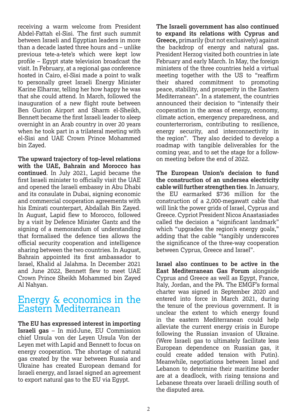receiving a warm welcome from President Abdel-Fattah el-Sisi. The first such summit between Israeli and Egyptian leaders in more than a decade lasted three hours and – unlike previous tete-a-tete's which were kept low profile – Egypt state television broadcast the visit. In February, at a regional gas conference hosted in Cairo, el-Sisi made a point to walk to personally greet Israeli Energy Minister Karine Elharrar, telling her how happy he was that she could attend. In March, followed the inauguration of a new flight route between Ben Gurion Airport and Sharm el-Sheikh, Bennett became the first Israeli leader to sleep overnight in an Arab country in over 20 years when he took part in a trilateral meeting with el-Sisi and UAE Crown Prince Mohammed bin Zayed.

**The upward trajectory of top-level relations with the UAE, Bahrain and Morocco has continued**. In July 2021, Lapid became the first Israeli minister to officially visit the UAE and opened the Israeli embassy in Abu Dhabi and its consulate in Dubai, signing economic and commercial cooperation agreements with his Emirati counterpart, Abdallah Bin Zayed. In August, Lapid flew to Morocco, followed by a visit by Defence Minister Gantz and the signing of a memorandum of understanding that formalised the defence ties allows the official security cooperation and intelligence sharing between the two countries. In August, Bahrain appointed its first ambassador to Israel, Khalid al Jalahma. In December 2021 and June 2022, Bennett flew to meet UAE Crown Prince Sheikh Mohammed bin Zayed Al Nahyan.

#### Energy & economics in the Eastern Mediterranean

**The EU has expressed interest in importing Israeli gas** – In mid-June, EU Commission chief Ursula von der Leyen Ursula Von der Leyen met with Lapid and Bennett to focus on energy cooperation. The shortage of natural gas created by the war between Russia and Ukraine has created European demand for Israeli energy, and Israel signed an agreement to export natural gas to the EU via Egypt.

**The Israeli government has also continued to expand its relations with Cyprus and Greece,** primarily (but not exclusively) against the backdrop of energy and natural gas**.** President Herzog visited both countries in late February and early March. In May, the foreign ministers of the three countries held a virtual meeting together with the US to "reaffirm their shared commitment to promoting peace, stability, and prosperity in the Eastern Mediterranean". In a statement, the countries announced their decision to "intensify their cooperation in the areas of energy, economy, climate action, emergency preparedness, and counterterrorism, contributing to resilience, energy security, and interconnectivity in the region". They also decided to develop a roadmap with tangible deliverables for the coming year, and to set the stage for a followon meeting before the end of 2022.

**The European Union's decision to fund the construction of an undersea electricity cable will further strengthen ties**. In January, the EU earmarked \$736 million for the construction of a 2,000-megawatt cable that will link the power grids of Israel, Cyprus and Greece. Cypriot President Nicos Anastasiades called the decision a "significant landmark" which "upgrades the region's energy goals," adding that the cable "tangibly underscores the significance of the three-way cooperation between Cyprus, Greece and Israel".

**Israel also continues to be active in the East Mediterranean Gas Forum** alongside Cyprus and Greece as well as Egypt, France, Italy, Jordan, and the PA. The EMGF's formal charter was signed in September 2020 and entered into force in March 2021, during the tenure of the previous government. It is unclear the extent to which energy found in the eastern Mediterranean could help alleviate the current energy crisis in Europe following the Russian invasion of Ukraine. (Were Israeli gas to ultimately facilitate less European dependence on Russian gas, it could create added tension with Putin). Meanwhile, negotiations between Israel and Lebanon to determine their maritime border are at a deadlock, with rising tensions and Lebanese threats over Israeli drilling south of the disputed area.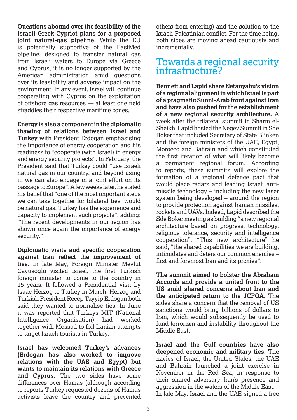**Questions abound over the feasibility of the Israeli-Greek-Cypriot plans for a proposed joint natural-gas pipeline**. While the EU is potentially supportive of the EastMed pipeline, designed to transfer natural gas from Israeli waters to Europe via Greece and Cyprus, it is no longer supported by the American administration amid questions over its feasibility and adverse impact on the environment. In any event, Israel will continue cooperating with Cyprus on the exploitation of offshore gas resources — at least one field straddles their respective maritime zones.

**Energy is also a component in the diplomatic thawing of relations between Israel and Turkey** with President Erdogan emphasising the importance of energy cooperation and his readiness to "cooperate (with Israel) in energy and energy security projects". In February, the President said that Turkey could "use Israeli natural gas in our country, and beyond using it, we can also engage in a joint effort on its passage to Europe". A few weeks later, he stated his belief that "one of the most important steps we can take together for bilateral ties, would be natural gas. Turkey has the experience and capacity to implement such projects", adding: "The recent developments in our region has shown once again the importance of energy security."

**Diplomatic visits and specific cooperation against Iran reflect the improvement of ties**. In late May, Foreign Minister Mevlut Cavusoglu visited Israel, the first Turkish foreign minister to come to the country in 15 years. It followed a Presidential visit by Isaac Herzog to Turkey in March. Herzog and Turkish President Recep Tayyip Erdogan both said they wanted to normalise ties. In June it was reported that Turkeys MIT (National Intelligence Organisation) had worked together with Mossad to foil Iranian attempts to target Israeli tourists in Turkey.

**Israel has welcomed Turkey's advances (Erdogan has also worked to improve relations with the UAE and Egypt) but wants to maintain its relations with Greece and Cyprus**. The two sides have some differences over Hamas (although according to reports Turkey requested dozens of Hamas activists leave the country and prevented

others from entering) and the solution to the Israeli-Palestinian conflict. For the time being, both sides are moving ahead cautiously and incrementally.

### Towards a regional security infrastructure?

**Bennett and Lapid share Netanyahu's vision of a regional alignment in which Israel is part of a pragmatic Sunni-Arab front against Iran and have also pushed for the establishment of a new regional security architecture.** A week after the trilateral summit in Sharm el-Sheikh, Lapid hosted the Negev Summit in Sde Boker that included Secretary of State Blinken and the foreign ministers of the UAE, Egypt, Morocco and Bahrain and which constituted the first iteration of what will likely become a permanent regional forum. According to reports, these summits will explore the formation of a regional defence pact that would place radars and leading Israeli antimissile technology – including the new laser system being developed – around the region to provide protection against Iranian missiles, rockets and UAVs. Indeed, Lapid described the Sde Boker meeting as building "a new regional architecture based on progress, technology, religious tolerance, security and intelligence cooperation". "This new architecture" he said, "the shared capabilities we are building, intimidates and deters our common enemies – first and foremost Iran and its proxies".

**The summit aimed to bolster the Abraham Accords and provide a united front to the US amid shared concerns about Iran and the anticipated return to the JCPOA**. The sides share a concern that the removal of US sanctions would bring billions of dollars to Iran, which would subsequently be used to fund terrorism and instability throughout the Middle East.

**Israel and the Gulf countries have also deepened economic and military ties.** The navies of Israel, the United States, the UAE and Bahrain launched a joint exercise in November in the Red Sea, in response to their shared adversary Iran's presence and aggression in the waters of the Middle East. In late May, Israel and the UAE signed a free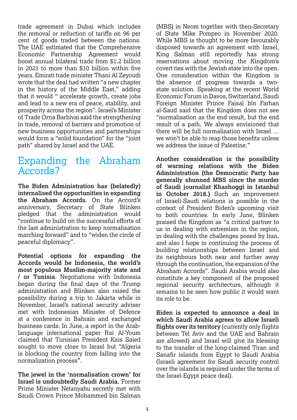trade agreement in Dubai which includes the removal or reduction of tariffs on 96 per cent of goods traded between the nations. The UAE estimated that the Comprehensive Economic Partnership Agreement would boost annual bilateral trade from \$1.2 billion in 2021 to more than \$10 billion within five years. Emirati trade minister Thani Al Zeyoudi wrote that the deal had written "a new chapter in the history of the Middle East," adding that it would " accelerate growth, create jobs and lead to a new era of peace, stability, and prosperity across the region". Israel's Minister of Trade Orna Barbivai said the strengthening in trade, removal of barriers and promotion of new business opportunities and partnerships would form a "solid foundation" for the "joint path" shared by Israel and the UAE.

## Expanding the Abraham Accords?

**The Biden Administration has (belatedly) internalised the opportunities in expanding the Abraham Accords.** On the Accord's anniversary, Secretary of State Blinken pledged that the administration would "continue to build on the successful efforts of the last administration to keep normalisation marching forward" and to "widen the circle of peaceful diplomacy".

**Potential options for expanding the Accords would be Indonesia, the world's most populous Muslim-majority state and / or Tunisia**. Negotiations with Indonesia began during the final days of the Trump administration and Blinken also raised the possibility during a trip to Jakarta while in November, Israel's national security adviser met with Indonesian Minister of Defence at a conference in Bahrain and exchanged business cards. In June, a report in the Arablanguage international paper Rai Al-Youm claimed that Tunisian President Kais Saied sought to move close to Israel but "Algeria" is blocking the country from falling into the normalization process".

**The jewel in the 'normalisation crown' for Israel is undoubtedly Saudi Arabia.** Former Prime Minister Netanyahu secretly met with Saudi Crown Prince Mohammed bin Salman

(MBS) in Neom together with then-Secretary of State Mike Pompeo in November 2020. While MBS is thought to be more favourably disposed towards an agreement with Israel, King Salman still reportedly has strong reservations about moving the Kingdom's covert ties with the Jewish state into the open. One consideration within the Kingdom is the absence of progress towards a twostate solution. Speaking at the recent World Economic Forum in Davos, Switzerland, Saudi Foreign Minister Prince Faisal bin Farhan al-Saud said that the Kingdom does not see "normalisation as the end result, but the end result of a path. We always envisioned that there will be full normalisation with Israel … we won't be able to reap those benefits unless we address the issue of Palestine."

**Another consideration is the possibility of warming relations with the Biden Administration (the Democratic Party has generally shunned MBS since the murder of Saudi journalist Khashoggi in Istanbul in October 2018.)** Such an improvement of Israeli-Saudi relations is possible in the context of President Biden's upcoming visit to both countries. In early June, Blinken praised the Kingdom as "a critical partner to us in dealing with extremism in the region, in dealing with the challenges posed by Iran, and also I hope in continuing the process of building relationships between Israel and its neighbours both near and further away through the continuation, the expansion of the Abraham Accords". Saudi Arabia would also constitute a key component of the proposed regional security architecture, although it remains to be seen how public it would want its role to be.

**Biden is expected to announce a deal in which Saudi Arabia agrees to allow Israeli flights over its territory** (currently only flights between Tel Aviv and the UAE and Bahrain are allowed) and Israel will give its blessing to the transfer of the long-claimed Tiran and Sanafir islands from Egypt to Saudi Arabia (Israeli agreement for Saudi security control over the islands is required under the terms of the Israel-Egypt peace deal).